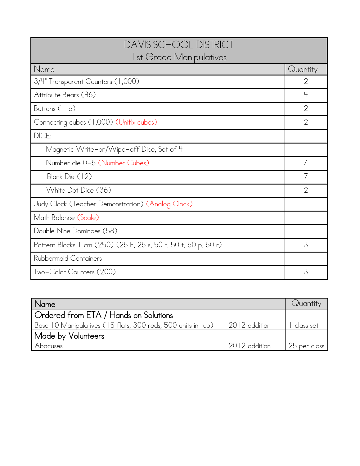| <b>DAVIS SCHOOL DISTRICT</b><br>Ist Grade Manipulatives        |                |  |
|----------------------------------------------------------------|----------------|--|
| Name                                                           | Quantity       |  |
| 3/4" Transparent Counters (1,000)                              | $\overline{2}$ |  |
| Attribute Bears (96)                                           | 4              |  |
| Buttons (1 lb)                                                 | $\overline{2}$ |  |
| Connecting cubes (1,000) (Unifix cubes)                        | $\overline{2}$ |  |
| DICE:                                                          |                |  |
| Magnetic Write-on/Wipe-off Dice, Set of 4                      |                |  |
| Number die 0-5 (Number Cubes)                                  |                |  |
| Blank Die (12)                                                 |                |  |
| White Dot Dice (36)                                            | $\mathcal{P}$  |  |
| Judy Clock (Teacher Demonstration) (Analog Clock)              |                |  |
| Math Balance (Scale)                                           |                |  |
| Double Nine Dominoes (58)                                      |                |  |
| Pattern Blocks   cm (250) (25 h, 25 s, 50 t, 50 t, 50 p, 50 r) | 3              |  |
| Rubbermaid Containers                                          |                |  |
| Two-Color Counters (200)                                       | 3              |  |

| Name                                                                       |               | Quantity     |
|----------------------------------------------------------------------------|---------------|--------------|
| Ordered from ETA / Hands on Solutions                                      |               |              |
| Base 10 Manipulatives (15 flats, 300 rods, 500 units in tub) 2012 addition |               | class set    |
| Made by Volunteers                                                         |               |              |
| Abacuses                                                                   | 2012 addition | 25 per class |